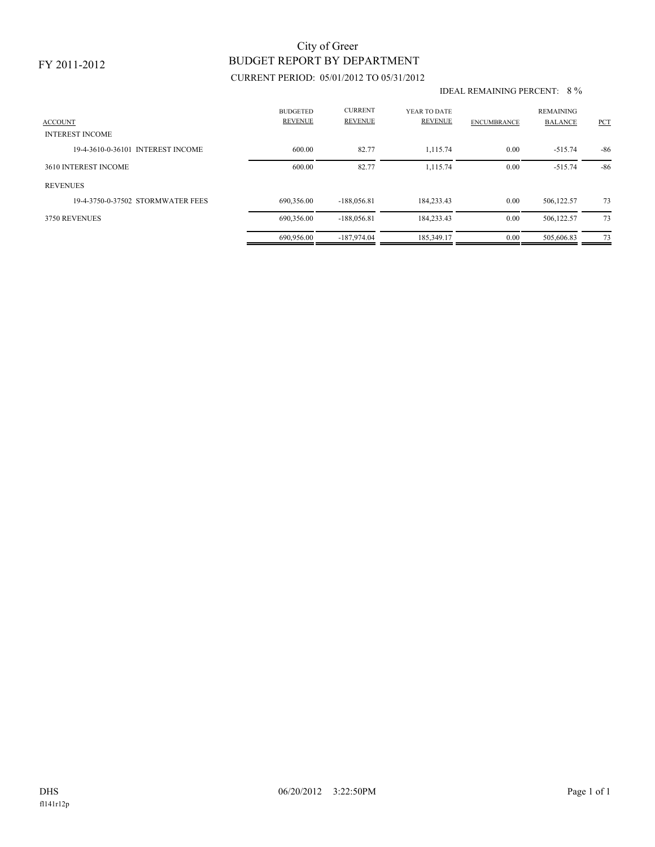### FY 2011-2012

# BUDGET REPORT BY DEPARTMENT City of Greer

## CURRENT PERIOD: 05/01/2012 TO 05/31/2012

#### IDEAL REMAINING PERCENT: 8 %

| <b>ACCOUNT</b><br><b>INTEREST INCOME</b> | <b>BUDGETED</b><br><b>REVENUE</b> | <b>CURRENT</b><br><b>REVENUE</b> | YEAR TO DATE<br><b>REVENUE</b> | <b>ENCUMBRANCE</b> | <b>REMAINING</b><br><b>BALANCE</b> | <b>PCT</b> |
|------------------------------------------|-----------------------------------|----------------------------------|--------------------------------|--------------------|------------------------------------|------------|
| 19-4-3610-0-36101 INTEREST INCOME        | 600.00                            | 82.77                            | 1.115.74                       | 0.00               | $-515.74$                          | $-86$      |
| 3610 INTEREST INCOME                     | 600.00                            | 82.77                            | 1.115.74                       | 0.00               | $-515.74$                          | $-86$      |
| <b>REVENUES</b>                          |                                   |                                  |                                |                    |                                    |            |
| 19-4-3750-0-37502 STORMWATER FEES        | 690.356.00                        | $-188,056.81$                    | 184.233.43                     | 0.00               | 506,122.57                         | 73         |
| 3750 REVENUES                            | 690,356.00                        | $-188,056.81$                    | 184,233.43                     | 0.00               | 506,122.57                         | 73         |
|                                          | 690.956.00                        | $-187.974.04$                    | 185,349.17                     | 0.00               | 505,606.83                         | 73         |